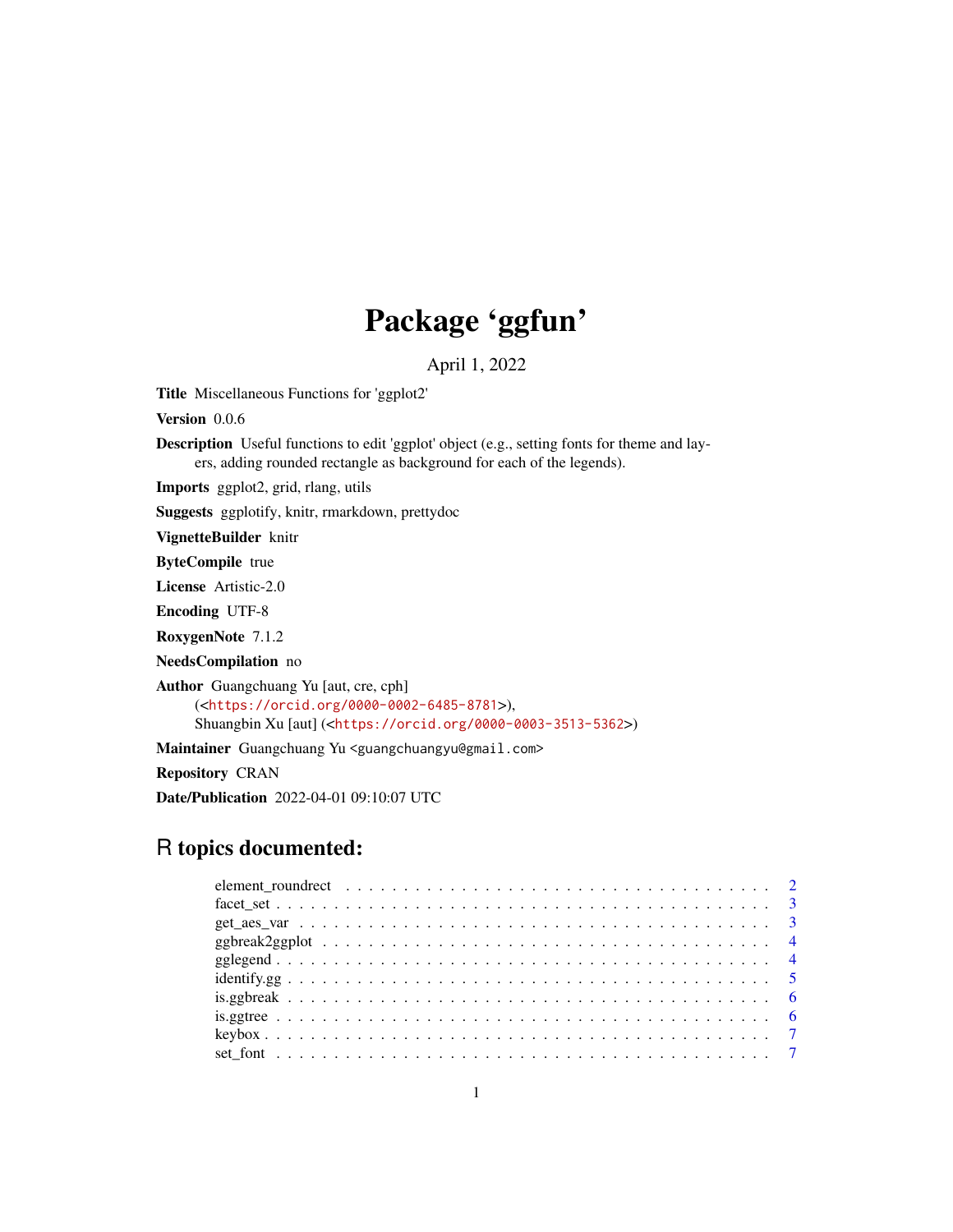# Package 'ggfun'

April 1, 2022

Title Miscellaneous Functions for 'ggplot2'

Version 0.0.6

Description Useful functions to edit 'ggplot' object (e.g., setting fonts for theme and layers, adding rounded rectangle as background for each of the legends).

Imports ggplot2, grid, rlang, utils

Suggests ggplotify, knitr, rmarkdown, prettydoc

VignetteBuilder knitr

ByteCompile true

License Artistic-2.0

Encoding UTF-8

RoxygenNote 7.1.2

NeedsCompilation no

Author Guangchuang Yu [aut, cre, cph]

(<<https://orcid.org/0000-0002-6485-8781>>), Shuangbin Xu [aut] (<<https://orcid.org/0000-0003-3513-5362>>)

Maintainer Guangchuang Yu <guangchuangyu@gmail.com>

Repository CRAN

Date/Publication 2022-04-01 09:10:07 UTC

# R topics documented: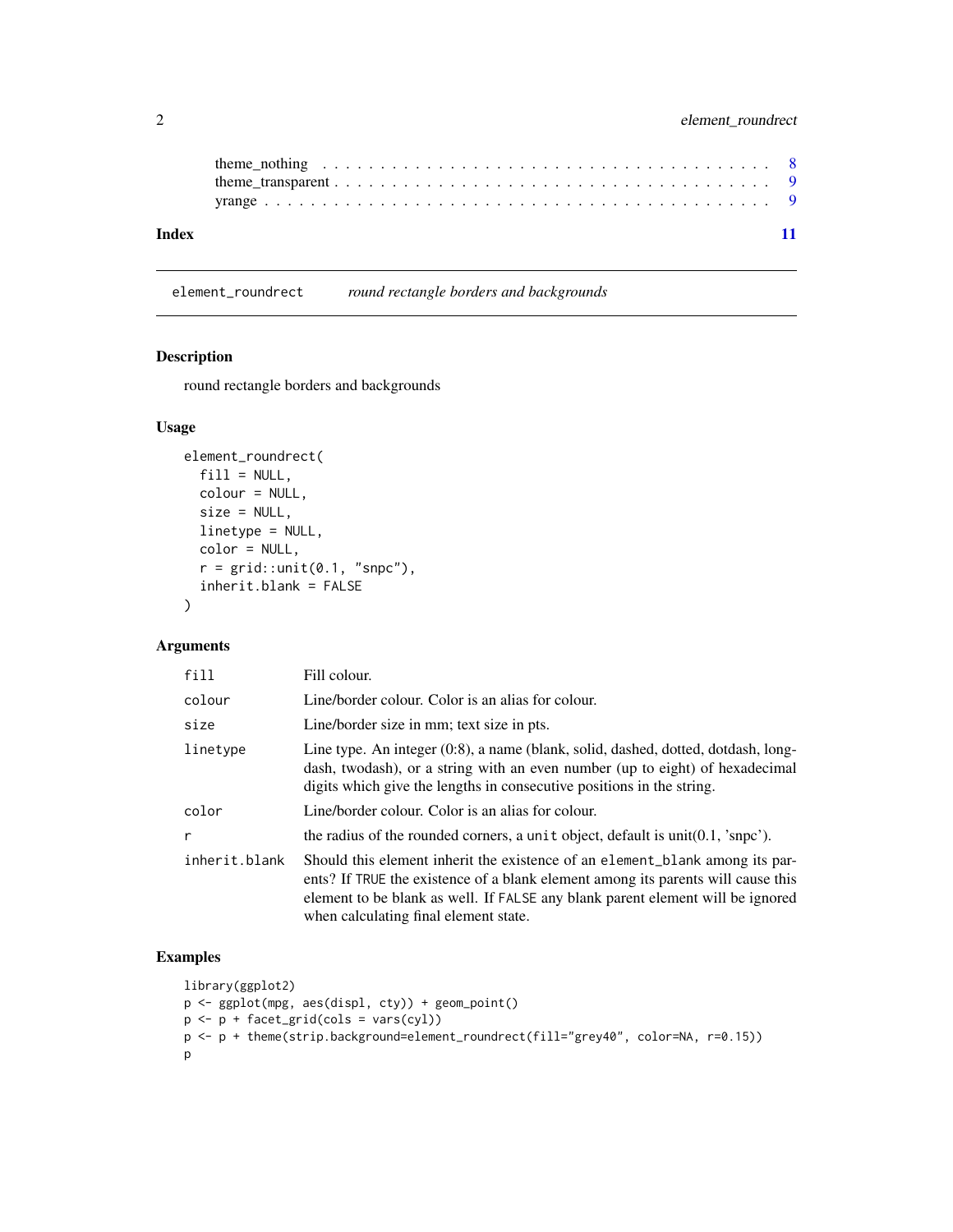<span id="page-1-0"></span>

element\_roundrect *round rectangle borders and backgrounds*

# Description

round rectangle borders and backgrounds

#### Usage

```
element_roundrect(
  fill = NULL,colour = NULL,
 size = NULL,
 linetype = NULL,
 color = NULL,
 r = grid::unit(0.1, "snpc"),inherit.blank = FALSE
\mathcal{L}
```
# Arguments

| fill          | Fill colour.                                                                                                                                                                                                                                                                                |
|---------------|---------------------------------------------------------------------------------------------------------------------------------------------------------------------------------------------------------------------------------------------------------------------------------------------|
| colour        | Line/border colour. Color is an alias for colour.                                                                                                                                                                                                                                           |
| size          | Line/border size in mm; text size in pts.                                                                                                                                                                                                                                                   |
| linetype      | Line type. An integer (0:8), a name (blank, solid, dashed, dotted, dotdash, long-<br>dash, twodash), or a string with an even number (up to eight) of hexadecimal<br>digits which give the lengths in consecutive positions in the string.                                                  |
| color         | Line/border colour. Color is an alias for colour.                                                                                                                                                                                                                                           |
| r             | the radius of the rounded corners, a unit object, default is unit $(0.1, 's npc').$                                                                                                                                                                                                         |
| inherit.blank | Should this element inherit the existence of an element_blank among its par-<br>ents? If TRUE the existence of a blank element among its parents will cause this<br>element to be blank as well. If FALSE any blank parent element will be ignored<br>when calculating final element state. |

# Examples

```
library(ggplot2)
p <- ggplot(mpg, aes(displ, cty)) + geom_point()
p \leftarrow p + \text{facet\_grid}(\text{cols} = \text{vars}(\text{cyl}))p <- p + theme(strip.background=element_roundrect(fill="grey40", color=NA, r=0.15))
p
```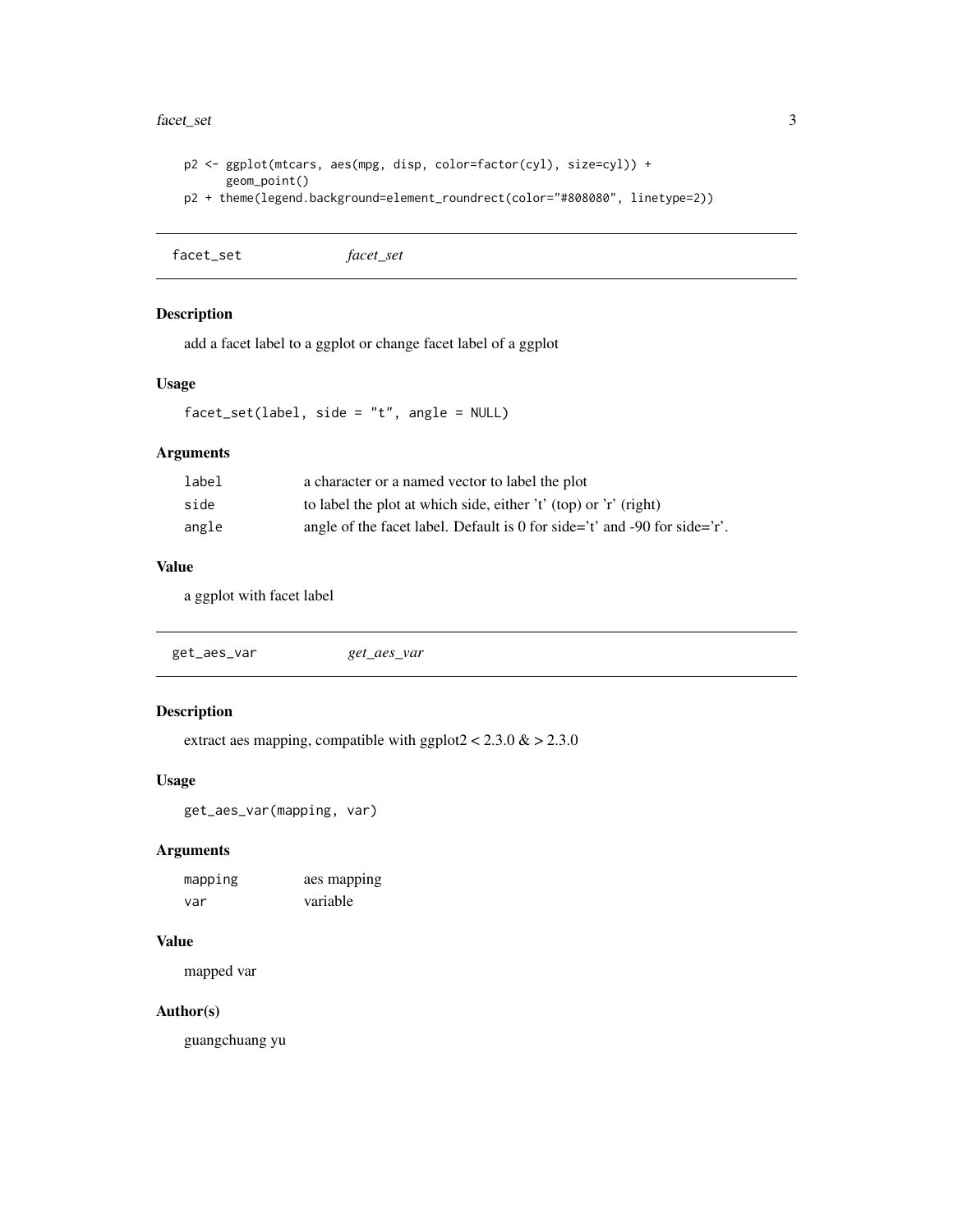#### <span id="page-2-0"></span>facet\_set 3

```
p2 <- ggplot(mtcars, aes(mpg, disp, color=factor(cyl), size=cyl)) +
      geom_point()
p2 + theme(legend.background=element_roundrect(color="#808080", linetype=2))
```

```
facet_set facet_set
```
# Description

add a facet label to a ggplot or change facet label of a ggplot

# Usage

facet\_set(label, side = "t", angle = NULL)

# Arguments

| label | a character or a named vector to label the plot                           |
|-------|---------------------------------------------------------------------------|
| side  | to label the plot at which side, either 't' (top) or 'r' (right)          |
| angle | angle of the facet label. Default is 0 for side='t' and -90 for side='t'. |

### Value

a ggplot with facet label

| get_aes_var | get_aes_var |  |  |
|-------------|-------------|--|--|
|-------------|-------------|--|--|

# Description

extract aes mapping, compatible with ggplot $2 < 2.3.0 \&> 2.3.0$ 

#### Usage

get\_aes\_var(mapping, var)

# Arguments

| mapping | aes mapping |
|---------|-------------|
| var     | variable    |

# Value

mapped var

#### Author(s)

guangchuang yu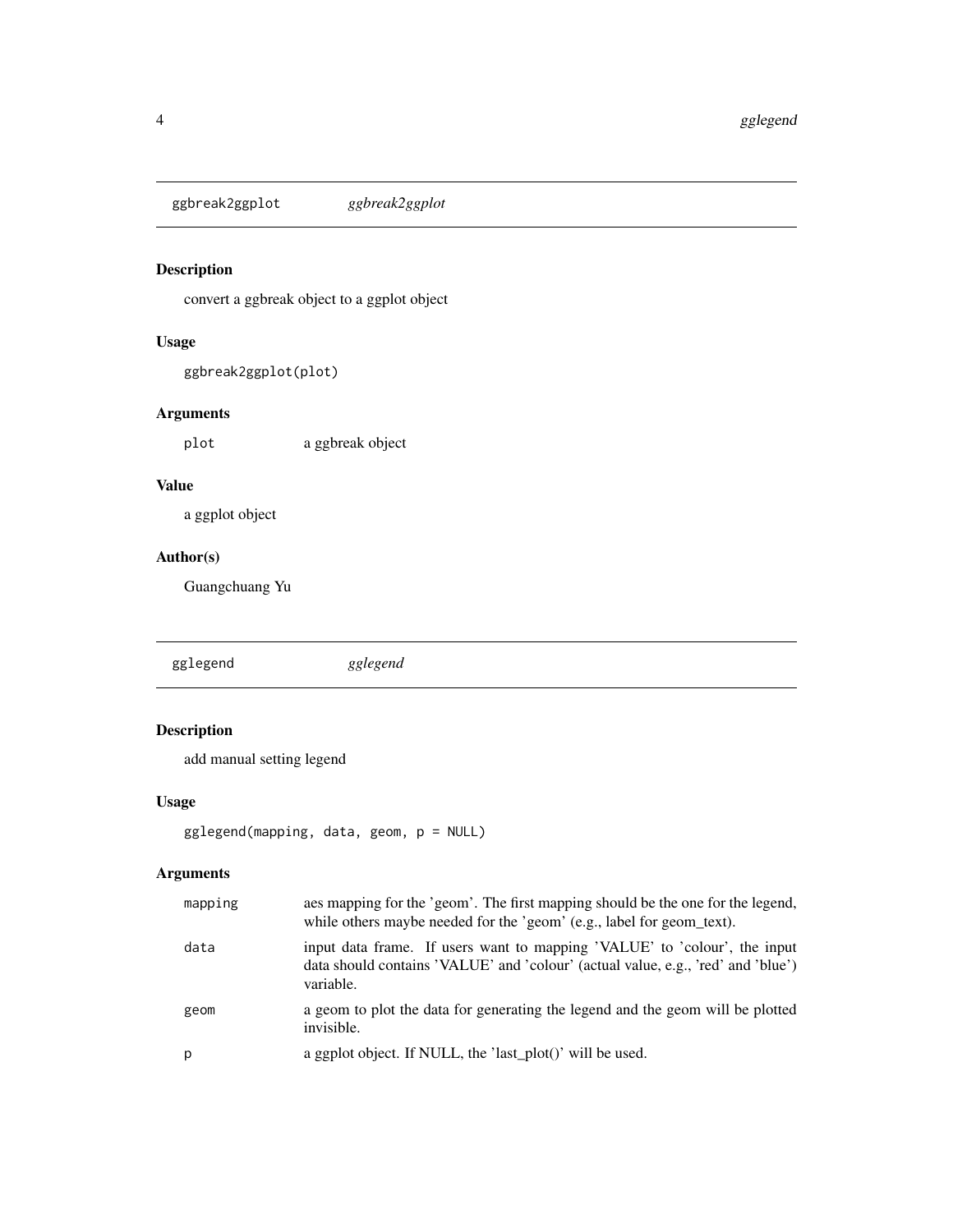<span id="page-3-0"></span>ggbreak2ggplot *ggbreak2ggplot*

# Description

convert a ggbreak object to a ggplot object

# Usage

```
ggbreak2ggplot(plot)
```
# Arguments

plot a ggbreak object

### Value

a ggplot object

# Author(s)

Guangchuang Yu

gglegend *gglegend*

# Description

add manual setting legend

# Usage

```
gglegend(mapping, data, geom, p = NULL)
```
# Arguments

| mapping | aes mapping for the 'geom'. The first mapping should be the one for the legend,<br>while others maybe needed for the 'geom' (e.g., label for geom_text).                   |
|---------|----------------------------------------------------------------------------------------------------------------------------------------------------------------------------|
| data    | input data frame. If users want to mapping 'VALUE' to 'colour', the input<br>data should contains 'VALUE' and 'colour' (actual value, e.g., 'red' and 'blue')<br>variable. |
| geom    | a geom to plot the data for generating the legend and the geom will be plotted<br>invisible.                                                                               |
| р       | a ggplot object. If NULL, the 'last_plot()' will be used.                                                                                                                  |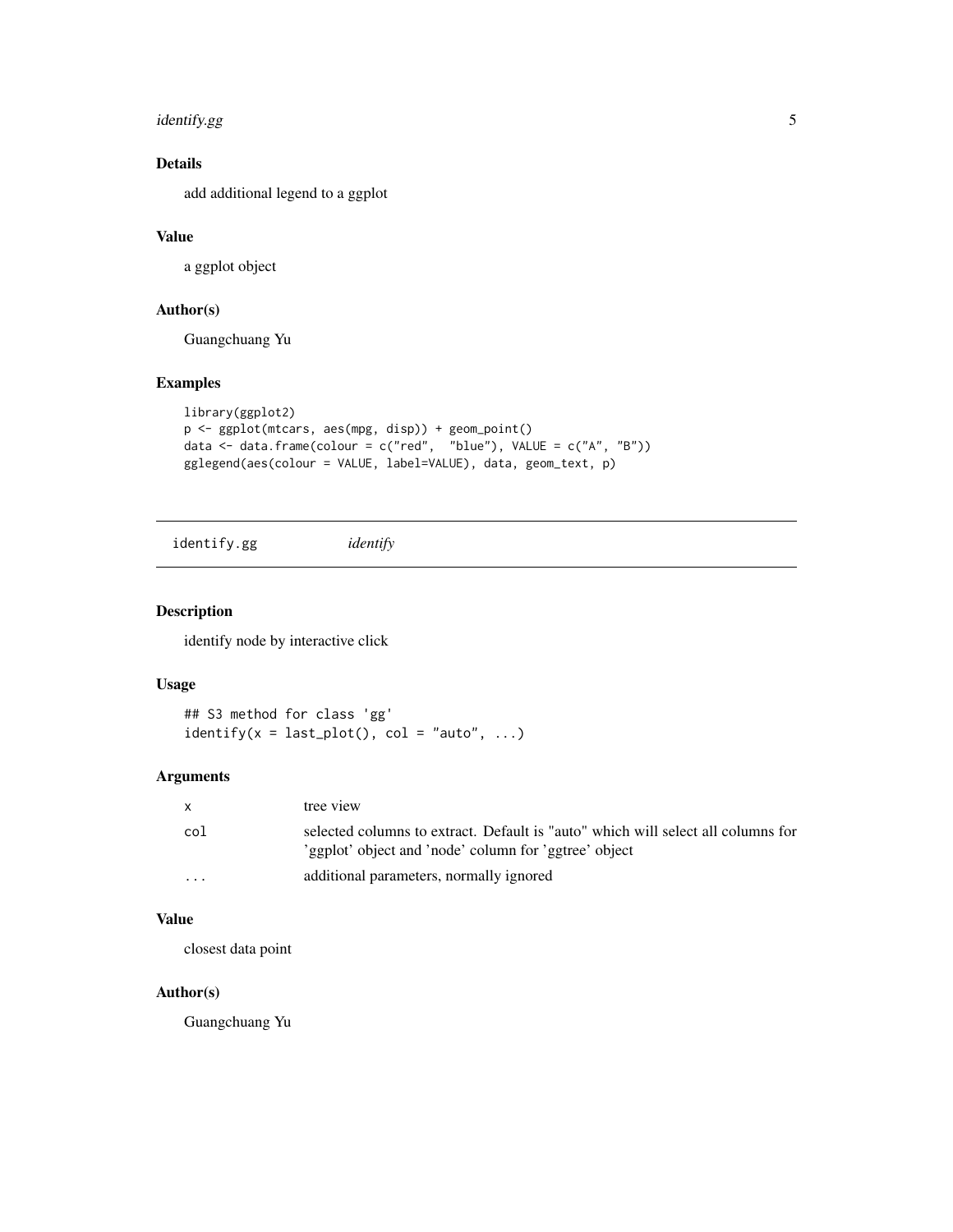# <span id="page-4-0"></span>identify.gg 5

# Details

add additional legend to a ggplot

# Value

a ggplot object

# Author(s)

Guangchuang Yu

# Examples

```
library(ggplot2)
p <- ggplot(mtcars, aes(mpg, disp)) + geom_point()
data <- data.frame(colour = c("red", "blue"), VALUE = c("A", "B"))
gglegend(aes(colour = VALUE, label=VALUE), data, geom_text, p)
```
identify.gg *identify*

#### Description

identify node by interactive click

#### Usage

## S3 method for class 'gg' identify( $x = last\_plot()$ ,  $col = "auto", ...)$ 

#### Arguments

| $\mathsf{x}$ | tree view                                                                                                                                 |
|--------------|-------------------------------------------------------------------------------------------------------------------------------------------|
| col          | selected columns to extract. Default is "auto" which will select all columns for<br>'ggplot' object and 'node' column for 'ggtree' object |
| $\cdot$      | additional parameters, normally ignored                                                                                                   |

# Value

closest data point

# Author(s)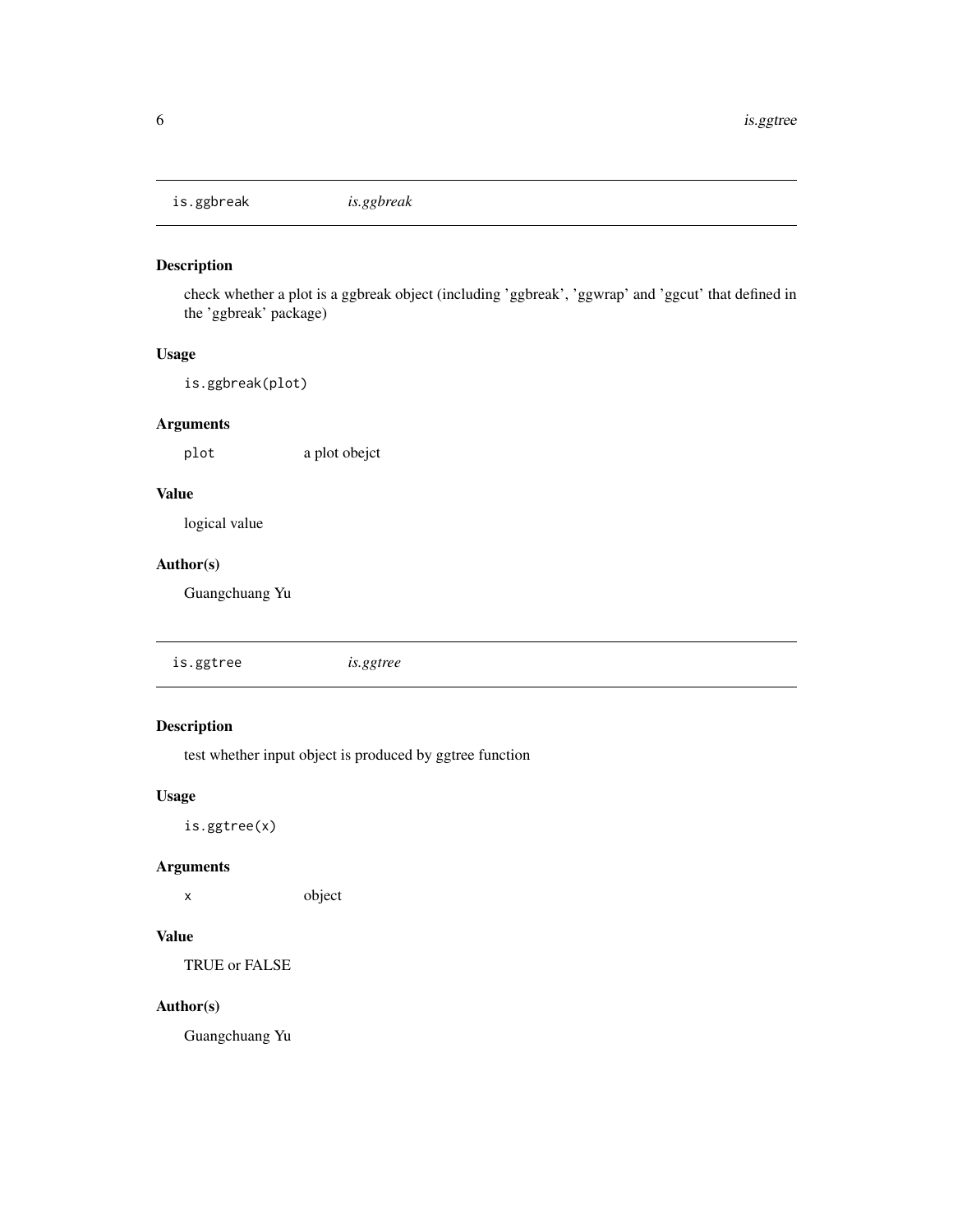<span id="page-5-0"></span>is.ggbreak *is.ggbreak*

# Description

check whether a plot is a ggbreak object (including 'ggbreak', 'ggwrap' and 'ggcut' that defined in the 'ggbreak' package)

# Usage

is.ggbreak(plot)

# Arguments

plot a plot obejct

### Value

logical value

# Author(s)

Guangchuang Yu

is.ggtree *is.ggtree*

# Description

test whether input object is produced by ggtree function

#### Usage

is.ggtree(x)

### Arguments

x object

#### Value

TRUE or FALSE

#### Author(s)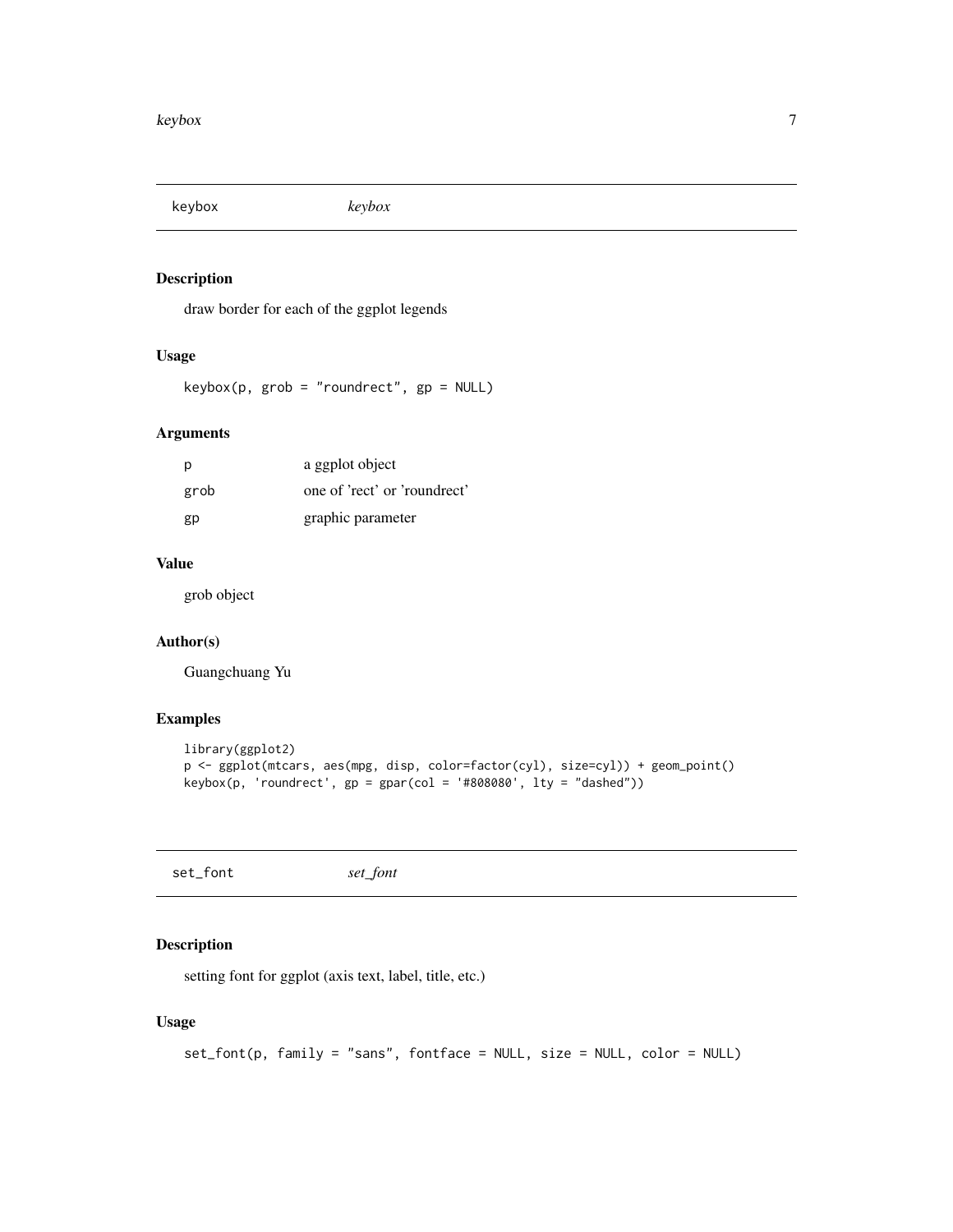<span id="page-6-0"></span>keybox *keybox*

# Description

draw border for each of the ggplot legends

# Usage

keybox(p, grob = "roundrect", gp = NULL)

# Arguments

| p    | a ggplot object              |
|------|------------------------------|
| grob | one of 'rect' or 'roundrect' |
| gp   | graphic parameter            |

# Value

grob object

# Author(s)

Guangchuang Yu

# Examples

```
library(ggplot2)
p <- ggplot(mtcars, aes(mpg, disp, color=factor(cyl), size=cyl)) + geom_point()
keybox(p, 'roundrect', gp = gpar(col = '#808080', lty = "dashed"))
```
set\_font *set\_font*

### Description

setting font for ggplot (axis text, label, title, etc.)

#### Usage

```
set_font(p, family = "sans", fontface = NULL, size = NULL, color = NULL)
```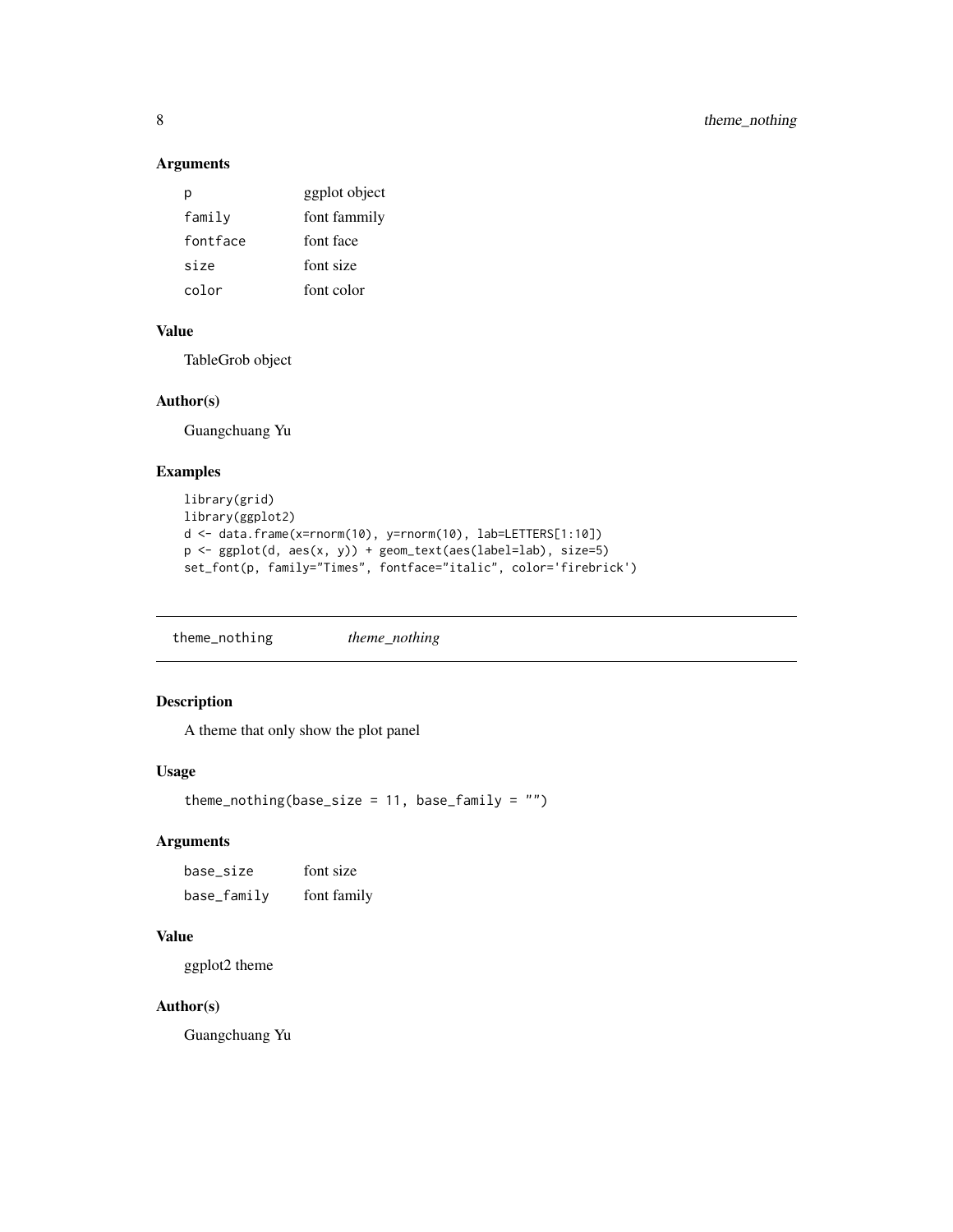# <span id="page-7-0"></span>Arguments

|          | ggplot object |
|----------|---------------|
| family   | font fammily  |
| fontface | font face     |
| size     | font size     |
| color    | font color    |

#### Value

TableGrob object

#### Author(s)

Guangchuang Yu

# Examples

```
library(grid)
library(ggplot2)
d <- data.frame(x=rnorm(10), y=rnorm(10), lab=LETTERS[1:10])
p <- ggplot(d, aes(x, y)) + geom_text(aes(label=lab), size=5)
set_font(p, family="Times", fontface="italic", color='firebrick')
```
theme\_nothing *theme\_nothing*

# Description

A theme that only show the plot panel

### Usage

theme\_nothing(base\_size =  $11$ , base\_family = "")

# Arguments

base\_size font size base\_family font family

# Value

ggplot2 theme

#### Author(s)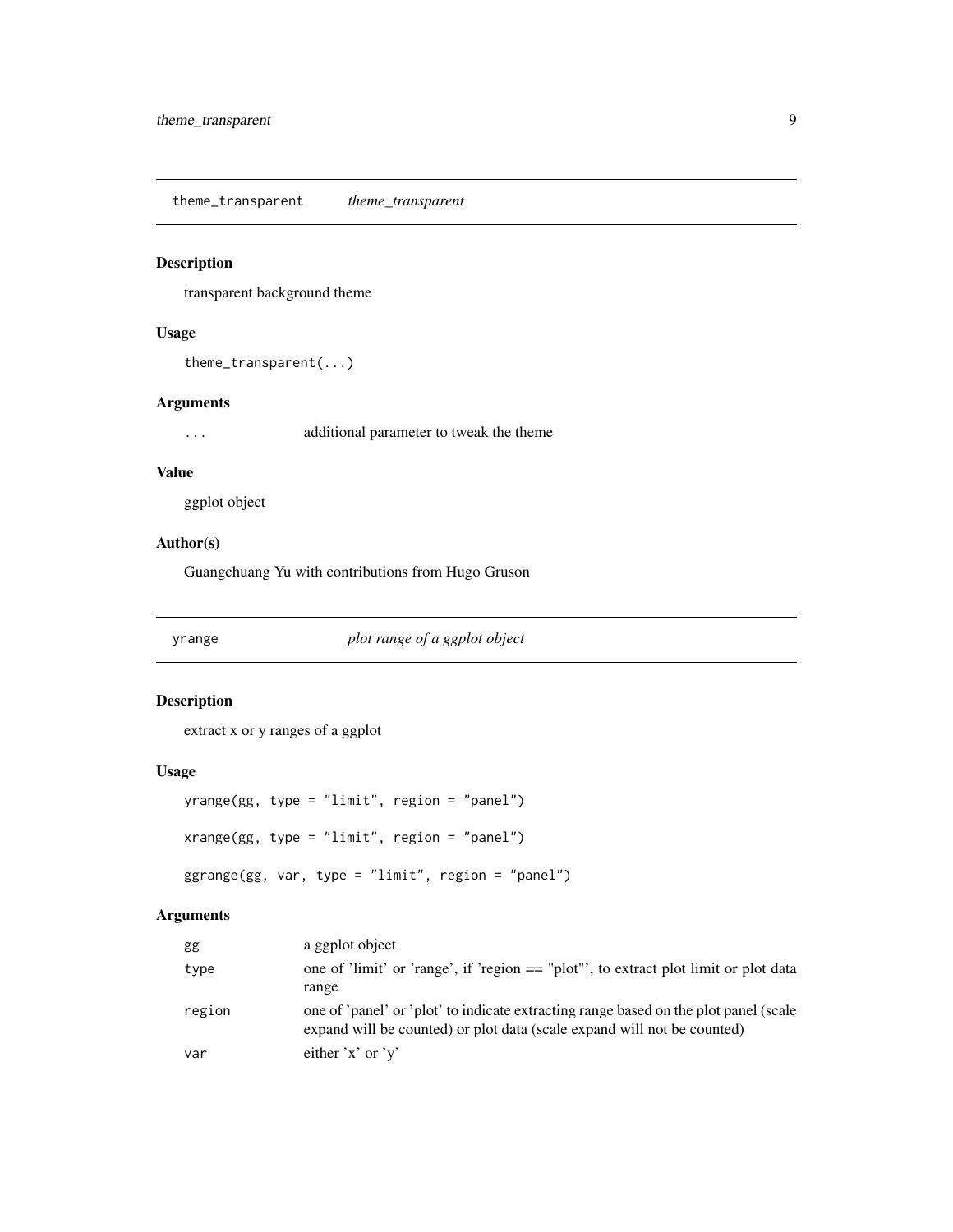<span id="page-8-0"></span>theme\_transparent *theme\_transparent*

# Description

transparent background theme

# Usage

```
theme_transparent(...)
```
#### Arguments

... additional parameter to tweak the theme

#### Value

ggplot object

# Author(s)

Guangchuang Yu with contributions from Hugo Gruson

yrange *plot range of a ggplot object*

# Description

extract x or y ranges of a ggplot

# Usage

```
yrange(gg, type = "limit", region = "panel")
xrange(gg, type = "limit", region = "panel")
ggrange(gg, var, type = "limit", region = "panel")
```
# Arguments

| gg     | a ggplot object                                                                                                                                                 |
|--------|-----------------------------------------------------------------------------------------------------------------------------------------------------------------|
| type   | one of 'limit' or 'range', if 'region $==$ "plot"', to extract plot limit or plot data                                                                          |
|        | range                                                                                                                                                           |
| region | one of 'panel' or 'plot' to indicate extracting range based on the plot panel (scale<br>expand will be counted) or plot data (scale expand will not be counted) |
| var    | either $'x'$ or $'y'$                                                                                                                                           |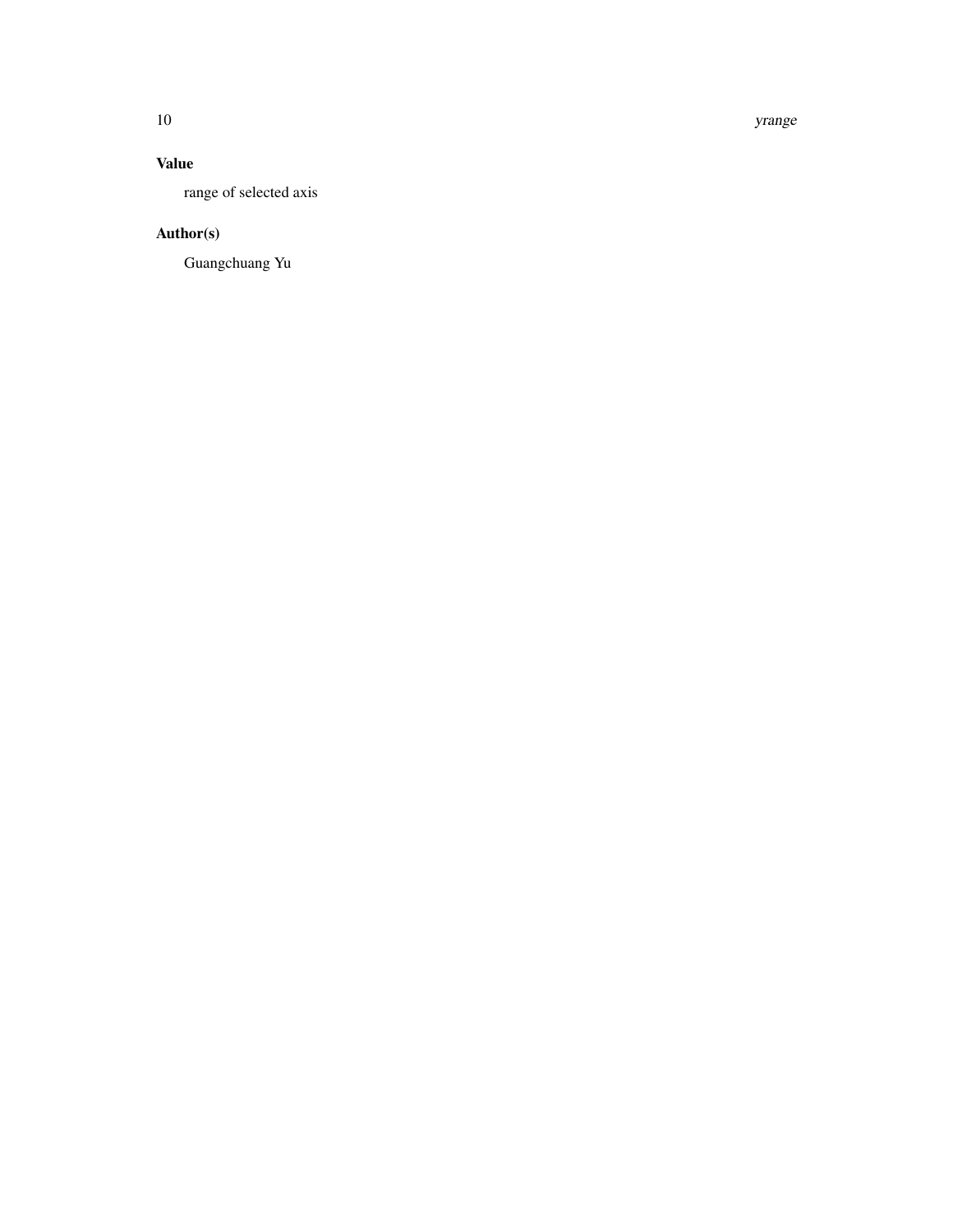10 yrange

# Value

range of selected axis

# Author(s)